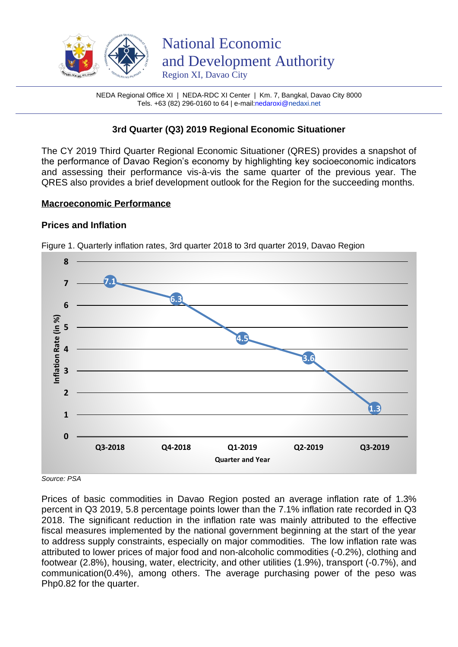

NEDA Regional Office XI | NEDA-RDC XI Center | Km. 7, Bangkal, Davao City 8000 Tels. +63 (82) 296-0160 to 64 | e-mai[l:nedaroxi@n](mailto:nedaroxi@)edaxi.net

# **3rd Quarter (Q3) 2019 Regional Economic Situationer**

The CY 2019 Third Quarter Regional Economic Situationer (QRES) provides a snapshot of the performance of Davao Region's economy by highlighting key socioeconomic indicators and assessing their performance vis-à-vis the same quarter of the previous year. The QRES also provides a brief development outlook for the Region for the succeeding months.

### **Macroeconomic Performance**

# **Prices and Inflation**



Figure 1. Quarterly inflation rates, 3rd quarter 2018 to 3rd quarter 2019, Davao Region

*Source: PSA* 

Prices of basic commodities in Davao Region posted an average inflation rate of 1.3% percent in Q3 2019, 5.8 percentage points lower than the 7.1% inflation rate recorded in Q3 2018. The significant reduction in the inflation rate was mainly attributed to the effective fiscal measures implemented by the national government beginning at the start of the year to address supply constraints, especially on major commodities. The low inflation rate was attributed to lower prices of major food and non-alcoholic commodities (-0.2%), clothing and footwear (2.8%), housing, water, electricity, and other utilities (1.9%), transport (-0.7%), and communication(0.4%), among others. The average purchasing power of the peso was Php0.82 for the quarter.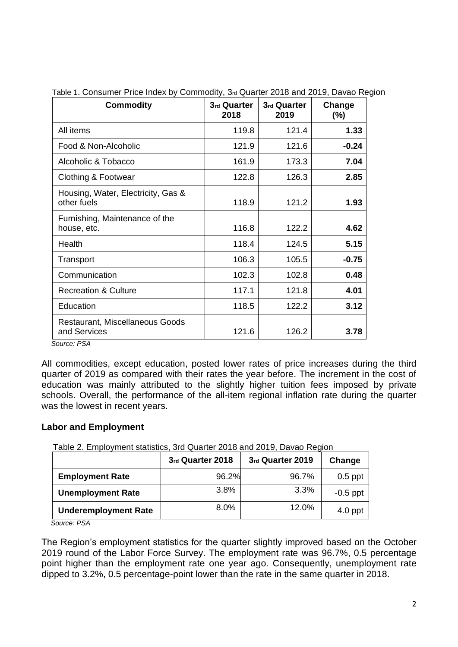| <b>Commodity</b>                                  | 3rd Quarter<br>2018 | 3rd Quarter<br>2019 | Change<br>$(\%)$ |
|---------------------------------------------------|---------------------|---------------------|------------------|
| All items                                         | 119.8               | 121.4               | 1.33             |
| Food & Non-Alcoholic                              | 121.9               | 121.6               | $-0.24$          |
| Alcoholic & Tobacco                               | 161.9               | 173.3               | 7.04             |
| Clothing & Footwear                               | 122.8               | 126.3               | 2.85             |
| Housing, Water, Electricity, Gas &<br>other fuels | 118.9               | 121.2               | 1.93             |
| Furnishing, Maintenance of the<br>house, etc.     | 116.8               | 122.2               | 4.62             |
| Health                                            | 118.4               | 124.5               | 5.15             |
| Transport                                         | 106.3               | 105.5               | $-0.75$          |
| Communication                                     | 102.3               | 102.8               | 0.48             |
| <b>Recreation &amp; Culture</b>                   | 117.1               | 121.8               | 4.01             |
| Education                                         | 118.5               | 122.2               | 3.12             |
| Restaurant, Miscellaneous Goods<br>and Services   | 121.6               | 126.2               | 3.78             |

| Table 1. Consumer Price Index by Commodity, 3rd Quarter 2018 and 2019, Davao Region |  |  |
|-------------------------------------------------------------------------------------|--|--|
|                                                                                     |  |  |

 *Source: PSA*

All commodities, except education, posted lower rates of price increases during the third quarter of 2019 as compared with their rates the year before. The increment in the cost of education was mainly attributed to the slightly higher tuition fees imposed by private schools. Overall, the performance of the all-item regional inflation rate during the quarter was the lowest in recent years.

### **Labor and Employment**

|                             | 3rd Quarter 2018 | 3rd Quarter 2019 | Change     |
|-----------------------------|------------------|------------------|------------|
| <b>Employment Rate</b>      | 96.2%            | 96.7%            | $0.5$ ppt  |
| <b>Unemployment Rate</b>    | 3.8%             | 3.3%             | $-0.5$ ppt |
| <b>Underemployment Rate</b> | $8.0\%$          | 12.0%            | $4.0$ ppt  |

*Source: PSA*

The Region's employment statistics for the quarter slightly improved based on the October 2019 round of the Labor Force Survey. The employment rate was 96.7%, 0.5 percentage point higher than the employment rate one year ago. Consequently, unemployment rate dipped to 3.2%, 0.5 percentage-point lower than the rate in the same quarter in 2018.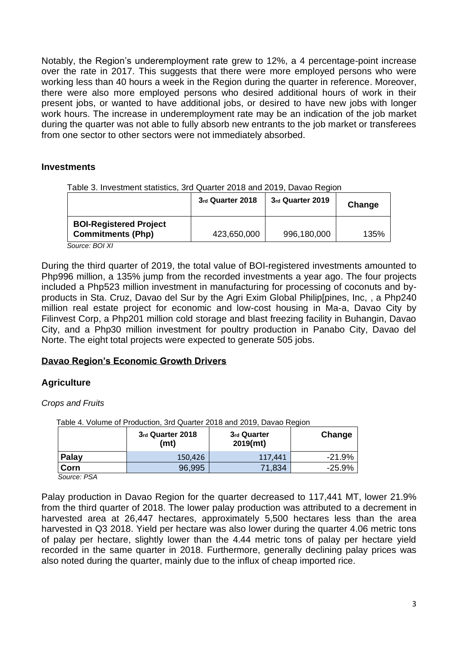Notably, the Region's underemployment rate grew to 12%, a 4 percentage-point increase over the rate in 2017. This suggests that there were more employed persons who were working less than 40 hours a week in the Region during the quarter in reference. Moreover, there were also more employed persons who desired additional hours of work in their present jobs, or wanted to have additional jobs, or desired to have new jobs with longer work hours. The increase in underemployment rate may be an indication of the job market during the quarter was not able to fully absorb new entrants to the job market or transferees from one sector to other sectors were not immediately absorbed.

### **Investments**

|  | Table 3. Investment statistics, 3rd Quarter 2018 and 2019, Davao Region |  |  |  |  |  |
|--|-------------------------------------------------------------------------|--|--|--|--|--|
|  |                                                                         |  |  |  |  |  |

|                                                           | 3rd Quarter 2018 | 3rd Quarter 2019 | Change |
|-----------------------------------------------------------|------------------|------------------|--------|
| <b>BOI-Registered Project</b><br><b>Commitments (Php)</b> | 423,650,000      | 996,180,000      | 135%   |

*Source: BOI XI*

During the third quarter of 2019, the total value of BOI-registered investments amounted to Php996 million, a 135% jump from the recorded investments a year ago. The four projects included a Php523 million investment in manufacturing for processing of coconuts and byproducts in Sta. Cruz, Davao del Sur by the Agri Exim Global Philip[pines, Inc, , a Php240 million real estate project for economic and low-cost housing in Ma-a, Davao City by Filinvest Corp, a Php201 million cold storage and blast freezing facility in Buhangin, Davao City, and a Php30 million investment for poultry production in Panabo City, Davao del Norte. The eight total projects were expected to generate 505 jobs.

### **Davao Region's Economic Growth Drivers**

# **Agriculture**

*Crops and Fruits*

|       | Table 4. Volume of Production, 3rd Quarter 2018 and 2019, Davao Region |                         |           |
|-------|------------------------------------------------------------------------|-------------------------|-----------|
|       | 3rd Quarter 2018<br>(mt)                                               | 3rd Quarter<br>2019(mt) | Change    |
| Palay | 150,426                                                                | 117,441                 | $-21.9%$  |
| Corn  | 96,995                                                                 | 71,834                  | $-25.9\%$ |
|       |                                                                        |                         |           |

*Source: PSA*

Palay production in Davao Region for the quarter decreased to 117,441 MT, lower 21.9% from the third quarter of 2018. The lower palay production was attributed to a decrement in harvested area at 26,447 hectares, approximately 5,500 hectares less than the area harvested in Q3 2018. Yield per hectare was also lower during the quarter 4.06 metric tons of palay per hectare, slightly lower than the 4.44 metric tons of palay per hectare yield recorded in the same quarter in 2018. Furthermore, generally declining palay prices was also noted during the quarter, mainly due to the influx of cheap imported rice.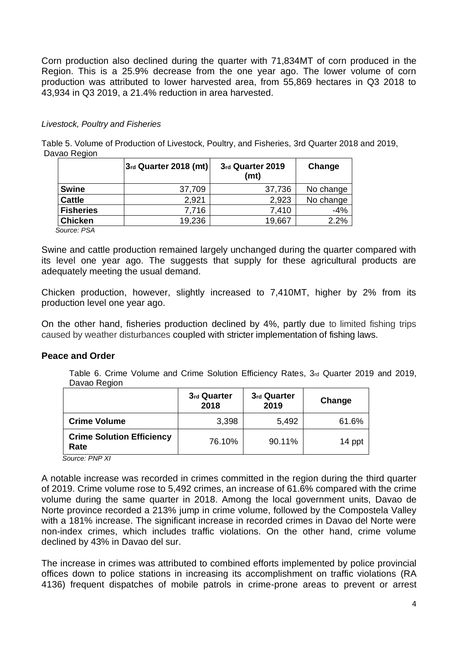Corn production also declined during the quarter with 71,834MT of corn produced in the Region. This is a 25.9% decrease from the one year ago. The lower volume of corn production was attributed to lower harvested area, from 55,869 hectares in Q3 2018 to 43,934 in Q3 2019, a 21.4% reduction in area harvested.

#### *Livestock, Poultry and Fisheries*

Table 5. Volume of Production of Livestock, Poultry, and Fisheries, 3rd Quarter 2018 and 2019, Davao Region

|        | 3rd Quarter 2019<br>(mt) | Change                  |
|--------|--------------------------|-------------------------|
| 37,709 | 37,736                   | No change               |
| 2,921  | 2,923                    | No change               |
| 7,716  | 7,410                    | $-4%$                   |
| 19,236 | 19,667                   | 2.2%                    |
|        |                          | $3rd$ Quarter 2018 (mt) |

 *Source: PSA*

Swine and cattle production remained largely unchanged during the quarter compared with its level one year ago. The suggests that supply for these agricultural products are adequately meeting the usual demand.

Chicken production, however, slightly increased to 7,410MT, higher by 2% from its production level one year ago.

On the other hand, fisheries production declined by 4%, partly due to limited fishing trips caused by weather disturbances coupled with stricter implementation of fishing laws.

### **Peace and Order**

Table 6. Crime Volume and Crime Solution Efficiency Rates, 3rd Quarter 2019 and 2019, Davao Region

|                                                                  | 3rd Quarter<br>2018 | 3rd Quarter<br>2019 | Change |
|------------------------------------------------------------------|---------------------|---------------------|--------|
| <b>Crime Volume</b>                                              | 3,398               | 5,492               | 61.6%  |
| <b>Crime Solution Efficiency</b><br>Rate<br>$\sim$ $\sim$ $\sim$ | 76.10%              | 90.11%              | 14 ppt |

*Source: PNP XI*

A notable increase was recorded in crimes committed in the region during the third quarter of 2019. Crime volume rose to 5,492 crimes, an increase of 61.6% compared with the crime volume during the same quarter in 2018. Among the local government units, Davao de Norte province recorded a 213% jump in crime volume, followed by the Compostela Valley with a 181% increase. The significant increase in recorded crimes in Davao del Norte were non-index crimes, which includes traffic violations. On the other hand, crime volume declined by 43% in Davao del sur.

The increase in crimes was attributed to combined efforts implemented by police provincial offices down to police stations in increasing its accomplishment on traffic violations (RA 4136) frequent dispatches of mobile patrols in crime-prone areas to prevent or arrest